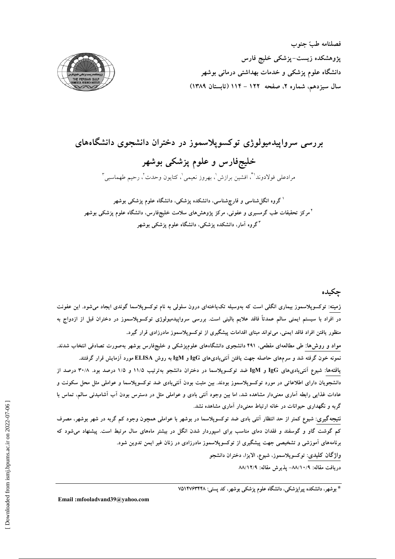



بررسی سرواپیدمیولوژی توکسوپلاسموز در دختران دانشجوی دانشگاههای خلیجفارس و علوم پزشکی بوشهر مرادعلي فولادوندا ؓ، افشين برازش ٰ، بهروز نعيمي ٰ، كتايون وحدت ؒ، رحيم طهماسبي ؑ

<sup>۱</sup>گروه انگا<sub>،</sub>شناسی و قارچشناسی، دانشکده پزشکی، دانشگاه علوم پزشکی بوشهر <sup>۲</sup>مرکز تحقیقات طب گرمسیری و عفونی، مرکز پژوهش۵ای سلامت خلیجفارس، دانشگاه علوم پزشکی بوشهر <sup>۳</sup>گروه آمار، دانشکده پزشکی، دانشگاه علوم پزشکی بوشهر

چکیده

زمینه: توکسوپلاسموز بیماری انگلی است که بهوسیله تکیاختهای درون سلولی به نام توکسوپلاسما گوندی ایجاد میشود. این عفونت در افراد با سیستم ایمنی سالم عمدتاً فاقد علایم بالینی است. بررسی سرواپیدمیولوژی توکسوپلاسموز در دختران قبل از ازدواج به منظور یافتن افراد فاقد ایمنی، می تواند مبنای اقدامات پیشگیری از توکسوپلاسموز مادرزادی قرار گیرد.

مواد و روش۵ا: طی مطالعهای مقطعی، ۴۹۱ دانشجوی دانشگاههای علومپزشکی و خلیجفارس بوشهر بهصورت تصادفی انتخاب شدند. نمونه خون گرفته شد و سرمهای حاصله جهت یافتن آنتیبادیهای IgG و IgM به روش ELISA مورد آزمایش قرار گرفتند.

یافتهها: شیوع آنتیبادیهای IgG و IgM ضد توکسوپلاسما در دختران دانشجو بهترتیب ۱۱/۵ و ۱/۵ درصد بود. ۳۰/۸ درصد از دانشجویان دارای اطلاعاتی در مورد توکسوپلاسموز بودند. بین مثبت بودن اَنتیبادی ضد توکسوپلاسما و عواملی مثل محل سکونت و عادات غذایی رابطه آماری معنیدار مشاهده شد، اما بین وجود آنتی بادی و عواملی مثل در دسترس بودن آب آشامیدنی سالم، تماس با گربه و نگهداری حیوانات در خانه ارتباط معنیدار آماری مشاهده نشد.

نتیجهگیری: شیوع کمتر از حد انتظار آنتی بادی ضد توکسوپلاسما در بوشهر با عواملی همچون وجود کم گربه در شهر بوشهر، مصرف کم گوشت گاو و گوسفند و فقدان دمای مناسب برای اسپوردار شدن انگل در بیشتر ماههای سال مرتبط است. پیشنهاد می شود که برنامههای آموزشی و تشخیصی جهت پیشگیری از توکسوپلاسموز مادرزادی در زنان غیر ایمن تدوین شود. واژگان کلیدی: توکسوپلاسموز، شیوع، الایزا، دختران دانشجو

دريافت مقاله: ٨٨/١٠/٩- يذيرش مقاله: ٨٨/١٢/٩

\* بوشهر، دانشکده پیراپزشکی، دانشگاه علوم پزشکی بوشهر، کد پستی: ۷۵۱۴۷۶۳۴۴۸

Email:mfooladvand39@yahoo.com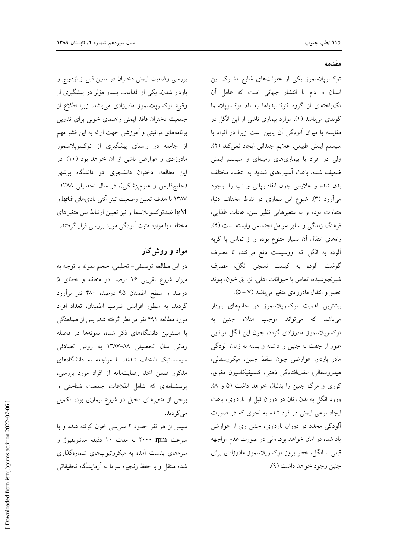بررسی وضعیت ایمنی دختران در سنین قبل از ازدواج و باردار شدن، یکی از اقدامات بسیار مؤثر در پیشگیری از وقوع توكسوپلاسموز مادرزادي مي باشد. زيرا اطلاع از جمعیت دختران فاقد ایمنی راهنمای خوبی برای تدوین برنامههای مراقبتی و آموزشی جهت ارائه به این قشر مهم از جامعه در راستای پیشگیری از توکسوپلاسموز مادرزادی و عوارض ناشی از آن خواهد بود (١٠). در این مطالعه، دختران دانشجوی دو دانشگاه بوشهر (خلیجفارس و علومپزشکی)، در سال تحصیلی ۱۳۸۸– ۱۳۸۷ با هدف تعیین وضعیت تیتر آنتی بادیهای IgG و IgM ضدتوكسوپلاسما و نيز تعيين ارتباط بين متغيرهاي مختلف با موارد مثبت ألودگی مورد بررسی قرار گرفتند.

# مواد و روش کار

در این مطالعه توصیفی- تحلیلی، حجم نمونه با توجه به میزان شیوع تقریبی ۲۶ درصد در منطقه و خطای ۵ درصد و سطح اطمينان ۹۵ درصد، ۴۸۰ نفر برآورد گردید. به منظور افزایش ضریب اطمینان، تعداد افراد مورد مطالعه ۴۹۱ نفر در نظر گرفته شد. پس از هماهنگی با مسئولین دانشگاههای ذکر شده، نمونهها در فاصله زمانی سال تحصیلی ۸۸–۱۳۸۷ به روش تصادفی سیستماتیک انتخاب شدند. با مراجعه به دانشگاههای مذکور ضمن اخذ رضایتنامه از افراد مورد بررسی، پرسشنامهای که شامل اطلاعات جمعیت شناختی و برخی از متغیرهای دخیل در شیوع بیماری بود، تکمیل مے گر دید.

سیس از هر نفر حدود ۲ سی سی خون گرفته شده و با سرعت ۲۰۰۰ rpm به مدت ۱۰ دقیقه سانتریفیوژ و سرمهای بدست آمده به میکروتیوپهای شمارهگذاری شده منتقل و با حفظ زنجیره سرما به آزمایشگاه تحقیقاتی

#### مقدمه

توکسوپلاسموز یکی از عفونتهای شایع مشترک بین انسان و دام با انتشار جهانی است که عامل آن تکیاختهای از گروه کوکسیدیاها به نام توکسوپلاسما گوندی میباشد (۱). موارد بیماری ناشی از این انگل در مقایسه با میزان آلودگی آن پایین است زیرا در افراد با سیستم ایمنی طبیعی، علایم چندانی ایجاد نمی کند (۲). ولی در افراد با بیماریهای زمینهای و سیستم ایمنی ضعیف شده، باعث آسیبهای شدید به اعضاء مختلف بدن شده و علايمي چون لنفادنوياتي و تب را بوجود می آورد (۳). شیوع این بیماری در نقاط مختلف دنیا، متفاوت بوده و به متغیرهایی نظیر سن، عادات غذایی، فرهنگ زندگی و سایر عوامل اجتماعی وابسته است (۴). راههای انتقال آن بسیار متنوع بوده و از تماس با گربه آلوده به انگل که اووسیست دفع میکند، تا مصرف گوشت آلوده به کیست نسجی انگل، مصرف شیرنجوشیده، تماس با حیوانات اهلی، تزریق خون، پیوند عضو و انتقال مادرزادی متغیر میباشد (۵ – ۵).

بیشترین اهمیت توکسوپلاسموز در خانمهای باردار میباشد که میتواند موجب ابتلاء جنین به توکسوپلاسموز مادرزادی گردد، چون این انگل توانایی عبور از جفت به جنین را داشته و بسته به زمان آلودگی مادر باردار، عوارضی چون سقط جنین، میکروسفالی، هيدروسفالي، عقبافتادگي ذهني، كلسيفيكاسيون مغزى، کوری و مرگ جنین را بدنبال خواهد داشت (۵ و ۸). ورود انگل به بدن زنان در دوران قبل از بارداری، باعث ایجاد نوعی ایمنی در فرد شده به نحوی که در صورت آلودگی مجدد در دوران بارداری، جنین وی از عوارض ياد شده در امان خواهد بود. ولي در صورت عدم مواجهه قبلی با انگل، خطر بروز توکسوپلاسموز مادرزادی برای جنين وجود خواهد داشت (٩).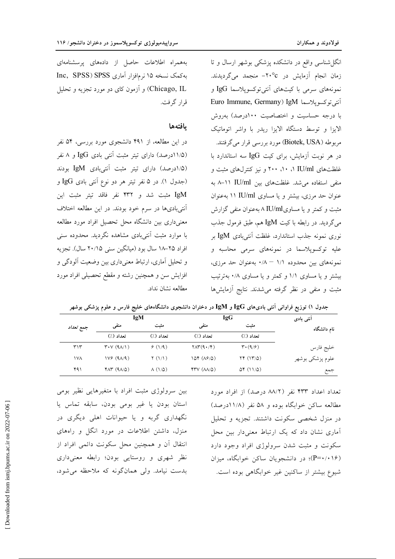انگل شناسی واقع در دانشکده پزشکی بوشهر ارسال و تا زمان انجام آزمایش در ٢٠°د- منجمد میگردیدند. نمونههای سرمی با کیتهای آنتیتوکسوپلاسما IgG و Euro Immune, Germany) IgM اَنتى توكسوپلاسما با درجه حساسیت و اختصاصیت ۱۰۰درصد) بهروش الایزا و توسط دستگاه الایزا ریدر با واشر اتوماتیک مربوطه (Biotek, USA) مورد بررسی قرار میگرفتند. در هر نوبت آزمایش، برای کیت IgG سه استاندارد با غلظتهای IU/ml ۱، ۱۰، ۲۰۰ و نیز کنترلهای مثبت و منفی استفاده می شد. غلظتهای بین IU/ml ۱۱-۸ به عنوان حد مرزی، بیشتر و یا مساوی IU/ml ۱۱ به عنوان مثبت و کمتر و یا مساویIU/ml بهعنوان منفی گزارش مي گرديد. در رابطه با كيت IgM هم، طبق فرمول جذب نوری نمونه جذب استاندارد، غلظت آنتیبادی IgM بر علیه توکسوپلاسما در نمونههای سرمی محاسبه و نمونههای بین محدوده ۱/۱ - ۰/۸ به عنوان حد مرزی، بیشتر و یا مساوی ۱/۱ و کمتر و یا مساوی ۰/۸ بهترتیب مثبت و منفی در نظر گرفته می شدند. نتایج آزمایشها

بههمراه اطلاعات حاصل از دادههای پرسشنامهای به کمک نسخه ۱۵ نرم افزار آماری Inc, SPSS) SPSS Chicago, IL) و آزمون کای دو مورد تجزیه و تحلیل قرار گرفت.

#### بافتهها

در این مطالعه، از ۴۹۱ دانشجوی مورد بررسی، ۵۴ نفر (۱۱/۵درصد) دارای تیتر مثبت آنتی بادی IgG و ۸ نفر (١/٥درصد) داراي تيتر مثبت أنتيبادي IgM بودند (جدول ۱). در ۵ نفر تیتر هر دو نوع اَنتی بادی IgG و IgM مثبت شد و ۴۳۲ نفر فاقد تيتر مثبت اين آنتیبادیها در سرم خود بودند. در این مطالعه اختلاف معنىدارى بين دانشگاه محل تحصيل افراد مورد مطالعه با موارد مثبت آنتیبادی مشاهده نگردید. محدوده سنی افراد ٢٥-١٨ سال بود (ميانگين سني ٢٠/١۵ سال). تجزيه و تحلیل آماری، ارتباط معنیداری بین وضعیت آلودگی و افزایش سن و همچنین رشته و مقطع تحصیلی افراد مورد مطالعه نشان نداد.

| آنتى بادى        | <b>IgG</b>                                 |                   | IgM                      |                                                |                   |
|------------------|--------------------------------------------|-------------------|--------------------------|------------------------------------------------|-------------------|
| نام دانشگاه      | مثبت                                       | منفي              | مثبت                     | منفی                                           | جمع ت <i>عداد</i> |
|                  | تعداد (٪)                                  | تعداد (٪)         | تعداد (٪)                | تعداد (٪)                                      |                   |
| خليج فارس        | $\mathbf{r} \cdot (\mathbf{q}/\mathbf{r})$ | $Y\Lambda Y(9.7)$ | 9(1/9)                   | $\mathbf{Y} \cdot \mathbf{V}$ (9 $\Lambda$ /1) | ٣١٣               |
| علوم پزشکي بوشهر | $\Upsilon f$ $(\Upsilon/\Delta)$           | 10f(Af/0)         | $\Upsilon$ (1/1)         | $IVF(4\Lambda/4)$                              | ١٧٨               |
| جمع              | $\Delta f$ (11/ $\Delta$ )                 | $YYV (AA/\Delta)$ | $\Lambda$ (1/ $\Delta$ ) | $Y\Lambda Y (9\Lambda/\Delta)$                 | ۴۹۱               |
|                  |                                            |                   |                          |                                                |                   |

جدول ۱) توزیع فراوانی آنتی بادیهای  $\lg\mathrm{G}$  و  $\lg$ Ig $\mathrm{M}$  در دختران دانشجوی دانشگاههای خلیج فارس و علوم پزشکی بوشهر

تعداد اعداد ۴۳۳ نفر (۸۸/۲ درصد) از افراد مورد مطالعه ساکن خوابگاه بوده و ۵۸ نفر (۱۱/۸درصد) در منزل شخصی سکونت داشتند. تجزیه و تحلیل آماری نشان داد که یک ارتباط معنیدار بین محل سکونت و مثبت شدن سرولوژی افراد وجود دارد (P=۰/۰۱۶)؛ در دانشجویان ساکن خوابگاه، میزان شیوع بیشتر از ساکنین غیر خوابگاهی بوده است.

بین سرولوژی مثبت افراد با متغیرهایی نظیر بومی استان بودن يا غير بومي بودن، سابقه تماس يا نگهداری گربه و یا حیوانات اهلی دیگری در منزل، داشتن اطلاعات در مورد انگل و راههای انتقال آن و همچنین محل سکونت دائمی افراد از نظر شهری و روستایی بودن؛ رابطه معنیداری بدست نیامد. ولی همانگونه که ملاحظه میشود،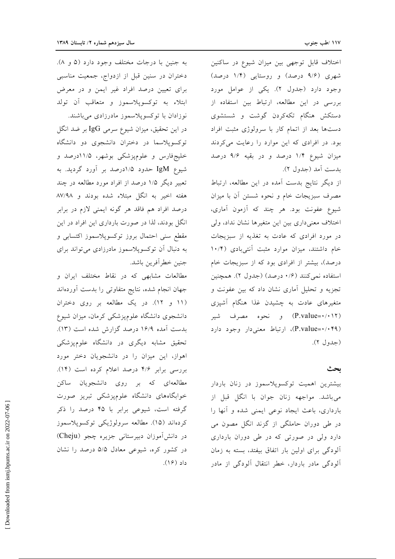اختلاف قابل توجهي بين ميزان شيوع در ساكنين شهری (۹/۶ درصد) و روستایی (۱/۴ درصد) وجود دارد (جدول ٢). يكي از عوامل مورد بررسی در این مطالعه، ارتباط بین استفاده از دستکش هنگام تکهکردن گوشت و شستشوی دستها بعد از اتمام کار با سرولوژی مثبت افراد بود. در افرادی که این موارد را رعایت می کردند میزان شیوع ۱/۴ درصد و در بقیه ۹/۶ درصد بدست أمد (جدول ٢).

از دیگر نتایج بدست آمده در این مطالعه، ارتباط مصرف سبزيجات خام و نحوه شستن أن با ميزان شیوع عفونت بود. هر چند که آزمون آماری، اختلاف معنى دارى بين اين متغيرها نشان نداد، ولى در مورد افرادی که عادت به تغذیه از سبزیجات خام داشتند، میزان موارد مثبت آنتیبادی (۱۰/۴ درصد)، بیشتر از افرادی بود که از سبزیجات خام استفاده نمي كنند (١/٤ درصد) (جدول ٢). همچنين تجزیه و تحلیل آماری نشان داد که بین عفونت و متغیرهای عادت به چشیدن غذا هنگام آشپزی (P.value=۰/۰۱۲) و نحوه مصرف شیر (P.value=٠/٠۴٩)، ارتباط معنی دار وجود دارد (حدول ٢).

### بحث

بیشترین اهمیت توکسوپلاسموز در زنان باردار می باشد. مواجهه زنان جوان با انگل قبل از بارداری، باعث ایجاد نوعی ایمنی شده و آنها را در طی دوران حاملگی از گزند انگل مصون می دارد ولی در صورتی که در طی دوران بارداری آلودگی برای اولین بار اتفاق بیفتد، بسته به زمان آلودگی مادر باردار، خطر انتقال آلودگی از مادر

به جنين با درجات مختلف وجود دارد (۵ و ۸). دختران در سنین قبل از ازدواج، جمعیت مناسبی برای تعیین درصد افراد غیر ایمن و در معرض ابتلاء به توكسوپلاسموز و متعاقب أن تولد نوزادان با توکسوپلاسموز مادرزادی می باشند. در این تحقیق، میزان شیوع سرمی  $\log$  بر ضد انگل توکسوپلاسما در دختران دانشجوی دو دانشگاه خليجفارس و علوميزشكي بوشهر، ۱۱/۵درصد و شيوع IgM حدود ۱/۵درصد بر آورد گرديد. به تعبیر دیگر ۱/۵ درصد از افراد مورد مطالعه در چند هفته اخیر به انگل مبتلاء شده بودند و ۸۷/۹۸ درصد افراد هم فاقد هر گونه ایمنی لازم در برابر انگل بودند، لذا در صورت بارداری این افراد در این مقطع سني احتمال بروز توكسوپلاسموز اكتسابي و به دنبال آن توکسوپلاسموز مادرزادی میتواند برای جنين خطر أفرين باشد.

مطالعات مشابهی که در نقاط مختلف ایران و جهان انجام شده، نتايج متفاوتي را بدست أوردهاند (١١ و ١٢). در يک مطالعه بر روى دختران دانشجوی دانشگاه علومٖپزشکی کرمان، میزان شیوع بدست آمده ۱۶/۹ درصد گزارش شده است (۱۳). تحقیق مشابه دیگری در دانشگاه علومپزشکی اهواز، این میزان را در دانشجویان دختر مورد بررسی برابر ۴/۶ درصد اعلام کرده است (۱۴). مطالعهای که بر روی دانشجویان ساکن خوابگاههای دانشگاه علومپزشکی تبریز صورت گرفته است، شیوعی برابر با ۴۵ درصد را ذکر كردەاند (١۵). مطالعه سرولوژيكى توكسوپلاسموز در دانش آموزان دبیرستانی جزیره چجو (Cheju) در کشور کره، شیوعی معادل ۵/۵ درصد را نشان داد (۱۶).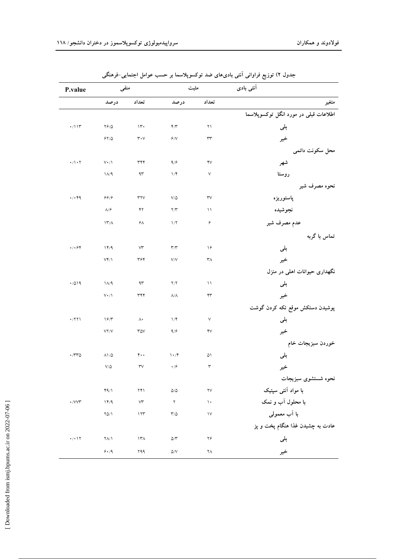| آنتی بادی                             | مثبت                   |                                 | منفى                                     |                                               | P.value                               |
|---------------------------------------|------------------------|---------------------------------|------------------------------------------|-----------------------------------------------|---------------------------------------|
| متغير                                 | تعداد                  | درصد                            | درصد<br>تعداد                            |                                               |                                       |
| اطلاعات قبلی در مورد انگل توکسوپلاسما |                        |                                 |                                          |                                               |                                       |
| بلى                                   | $\upgamma \uparrow$    | $\mathbf{Y}/\mathbf{Y}$         | $\mathcal{W}$                            | $\mathbf{Y}\mathbf{\hat{y}}/\mathbf{\hat{Q}}$ | $\cdot/\backslash\backslash\Upsilon$  |
| خير                                   | $\mathsf{r}\mathsf{r}$ | $\varphi/\mathrm{V}$            | $\mathbf{r}\boldsymbol{\cdot}\mathbf{v}$ | $54/0$                                        |                                       |
| محل سکونت دائمی                       |                        |                                 |                                          |                                               |                                       |
| شهر                                   | $\mathsf{Y}$           | $\mathsf{q}/\mathsf{e}$         | $\tau \tau \tau$                         | $V\cdot/\Lambda$                              | $\cdot/\cdot$ $\cdot$ $\cdot$ $\cdot$ |
| روستا                                 | $\lor$                 | $1/\mathfrak{F}$                | ۹۳                                       | $\Lambda/9$                                   |                                       |
| نحوه مصرف شير                         |                        |                                 |                                          |                                               |                                       |
| پاستوريزه                             | $\mathsf{r}\mathsf{v}$ | $V/\Delta$                      | $\mathsf{r}\mathsf{r}\mathsf{v}$         | 99/                                           | $\cdot/\cdot$ ۴۹                      |
| نجوشيده                               | $\setminus$            | $\Upsilon/\Upsilon$             | ۴۲                                       | $\Lambda/\hat{r}$                             |                                       |
| عدم مصرف شير                          | ۶                      | $1/\Upsilon$                    | $5\lambda$                               | $11^{\circ}/\Lambda$                          |                                       |
| تماس با گربه                          |                        |                                 |                                          |                                               |                                       |
| بلى                                   | ۱۶                     | $\mathbf{r} / \mathbf{r}$       | $\vee\uparrow$                           | 14/9                                          | $\cdot/\cdot$ ۶۴                      |
| خير                                   | $\mathsf{r}_\Lambda$   | V/V                             | ٣۶۴                                      | $V^{\prime}/\Lambda$                          |                                       |
| نگهداری حیوانات اهلی در منزل          |                        |                                 |                                          |                                               |                                       |
| بلى                                   | $\setminus$            | Y/Y                             | $\gamma\gamma$                           | $1/\sqrt{9}$                                  | .7019                                 |
| خير                                   | ۴٣                     | $\Lambda/\Lambda$               | $\tau \tau \tau$                         | $\mathsf{V}\mathbin{\bullet}/\mathsf{V}$      |                                       |
| پوشیدن دستکش موقع تکه کردن گوشت       |                        |                                 |                                          |                                               |                                       |
| بلى                                   | ٧                      | $1/\mathfrak{F}$                | $\wedge\cdot$                            | 19/7                                          | $\cdot$ /٢٢١                          |
| خير                                   | ۴٧                     | $\mathsf{q}/\mathsf{e}$         | ٣۵٧                                      | ${\sf V}^{\sf v}/{\sf V}$                     |                                       |
| خوردن سبزيجات خام                     |                        |                                 |                                          |                                               |                                       |
| بلى                                   | ۵۱                     | $\mathcal{N} \cdot \mathcal{N}$ | $\mathfrak{r}\cdot\mathfrak{r}$          | $\Lambda$ $/$ $\Delta$                        | $\cdot$                               |
| خير                                   | ٣                      | $\cdot$ / $\circ$               | $\mathsf{rv}$                            | $V/\Delta$                                    |                                       |
| نحوه شستشوى سبزيجات                   |                        |                                 |                                          |                                               |                                       |
| با مواد آنتی سپتیک                    | $\mathsf{Y}\mathsf{V}$ | $\Delta/\Delta$                 | $\gamma \gamma$                          | 44/1                                          |                                       |
| با محلول آب و نمک                     | $\backslash$ .         | $\Upsilon$                      | $\vee\!\tau$                             | 14/9                                          | $\boldsymbol{\cdot}$ /<br>VV٣         |
| با اَب معمولی                         | $\mathcal{N}$          | $\Upsilon/\Delta$               | 177                                      | $Y\Delta/\lambda$                             |                                       |
| عادت به چشیدن غذا هنگام پخت و پز      |                        |                                 |                                          |                                               |                                       |
| بلى                                   | ۲۶                     | $\Delta/\Upsilon$               | $\upgamma\upgamma\upgamma$               | $\Upsilon \Lambda / \Lambda$                  | $\bullet/\bullet$ \ $\Upsilon$        |
| خير                                   | ۲Λ                     | $\Delta /V$                     | ۲۹۹                                      | $\mathcal{S}\bullet/\mathfrak{q}$             |                                       |

جدول ۲) توزیع فراوانی آنتی بادیهای ضد توکسوپلاسما بر حسب عوامل اجتمایی-فرهنگی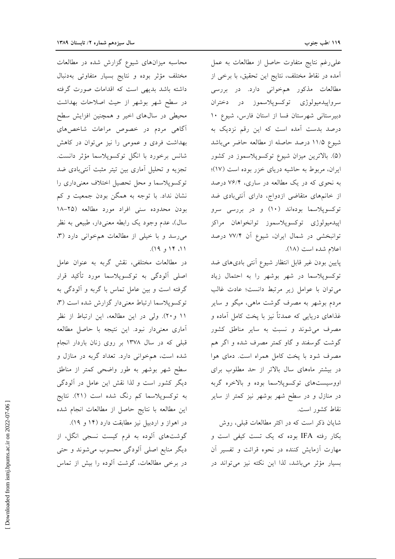على رغم نتايج متفاوت حاصل از مطالعات به عمل آمده در نقاط مختلف، نتايج اين تحقيق، با برخي از مطالعات مذکور همخوانی دارد. در بررسی سرواپیدمیولوژی توکسوپلاسموز در دختران دبیرستانی شهرستان فسا از استان فارس، شیوع ۱۰ درصد بدست آمده است که این رقم نزدیک به شیوع ۱۱/۵ درصد حاصله از مطالعه حاضر میباشد (۵). بالاترین میزان شیوع توکسوپلاسموز در کشور ایران، مربوط به حاشیه دریای خزر بوده است (١٧)؛ به نحوی که در یک مطالعه در ساری، ۷۶/۴ درصد از خانمهای متقاضی ازدواج، دارای آنتیبادی ضد توکسوپلاسما بودهاند (۱۰) و در بررسی سرو اييدميولوژي توكسوپلاسموز توانخواهان مراكز توانبخشی در شمال ایران، شیوع آن ۷۷/۴ درصد اعلام شده است (١٨).

پایین بودن غیر قابل انتظار شیوع آنتی بادیهای ضد توکسوپلاسما در شهر بوشهر را به احتمال زیاد می توان با عوامل زیر مرتبط دانست؛ عادت غالب مردم بوشهر به مصرف گوشت ماهی، میگو و سایر غذاهای دریایی که عمدتاً نیز با پخت کامل آماده و مصرف می شوند و نسبت به سایر مناطق کشور گوشت گوسفند و گاو کمتر مصرف شده و اگر هم مصرف شود با پخت کامل همراه است. دمای هوا در بیشتر ماههای سال بالاتر از حد مطلوب برای اووسیستهای توکسوپلاسما بوده و بالاخره گربه در منازل و در سطح شهر بوشهر نیز کمتر از سایر نقاط كشور است.

شایان ذکر است که در اکثر مطالعات قبلی، روش بکار رفته IFA بوده که یک تست کیفی است و مهارت آزمایش کننده در نحوه قرائت و تفسیر آن بسیار مؤثر میباشد، لذا این نکته نیز میتواند در

محاسبه میزانهای شیوع گزارش شده در مطالعات مختلف مؤثر بوده ونتايج بسيار متفاوتي بهدنبال داشته باشد بدیهی است که اقدامات صورت گرفته در سطح شهر بوشهر از حیث اصلاحات بهداشت محیطی در سالهای اخیر و همچنین افزایش سطح آگاهی مردم در خصوص مراعات شاخصهای بهداشت فردی و عمومی را نیز می توان در کاهش شانس برخورد با انگل توکسوپلاسما مؤثر دانست. تجزیه و تحلیل آماری بین تیتر مثبت آنتیبادی ضد توکسوپلاسما و محل تحصیل اختلاف معنیداری را نشان نداد. با توجه به همگن بودن جمعیت و کم بودن محدوده سنى افراد مورد مطالعه (٢٥-١٨ سال)، عدم وجود يک رابطه معنىدار، طبيعي به نظر می رسد و با خیلی از مطالعات هم خوانی دارد (۳، ۱۱، ۱۴ و ۱۹).

در مطالعات مختلفی، نقش گربه به عنوان عامل اصلی آلودگی به توکسوپلاسما مورد تأکید قرار گرفته است و بین عامل تماس با گربه و آلودگی به توكسوپلاسما ارتباط معنىدار گزارش شده است (٣، ١١ و٢٠). ولي در اين مطالعه، اين ارتباط از نظر آماری معنیدار نبود. این نتیجه با حاصل مطالعه قبلی که در سال ۱۳۷۸ بر روی زنان باردار انجام شده است، همخوانی دارد. تعداد گربه در منازل و سطح شهر بوشهر به طور واضحى كمتر از مناطق دیگر کشور است و لذا نقش این عامل در آلودگی به توکسوپلاسما کم رنگ شده است (۲۱). نتایج این مطالعه با نتایج حاصل از مطالعات انجام شده در اهواز و اردبیل نیز مطابقت دارد (۱۴ و ۱۹).

گوشتهای آلوده به فرم کیست نسجی انگل، از دیگر منابع اصلی آلودگی محسوب میشوند و حتی در برخی مطالعات، گوشت آلوده را بیش از تماس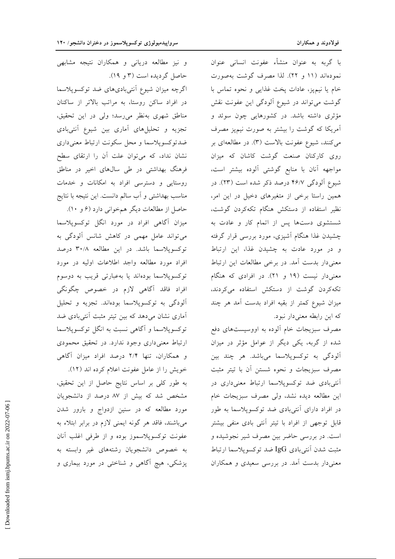با گربه به عنوان منشأء عفونت انسانی عنوان نمودهاند (١١ و ٢٢). لذا مصرف گوشت بهصورت خام یا نیمپز، عادات پخت غذایی و نحوه تماس با گوشت می تواند در شیوع آلودگی این عفونت نقش مؤثری داشته باشد. در کشورهایی چون سوئد و آمریکا که گوشت را بیشتر به صورت نیمپز مصرف می کنند، شیوع عفونت بالاست (۳). در مطالعهای بر روی کارکنان صنعت گوشت کاشان که میزان مواجهه آنان با منابع گوشتی آلوده بیشتر است، شیوع آلودگی ۴۶/۷ درصد ذکر شده است (۲۳). در همین راستا برخی از متغیرهای دخیل در این امر، نظیر استفاده از دستکش هنگام تکهکردن گوشت، شستشوی دستها پس از اتمام کار و عادت به چشیدن غذا هنگام أشیزی، مورد بررسی قرار گرفته و در مورد عادت به چشیدن غذا، این ارتباط معنی دار بدست آمد. در برخی مطالعات این ارتباط معنی دار نیست (۱۹ و ۲۱). در افرادی که هنگام تکه کردن گوشت از دستکش استفاده میکردند، میزان شیوع کمتر از بقیه افراد بدست آمد هر چند که این رابطه معنیدار نبود.

مصرف سبزیجات خام ألوده به اووسیستهای دفع شده از گربه، یکی دیگر از عوامل مؤثر در میزان آلودگی به توکسوپلاسما میباشد. هر چند بین مصرف سبزیجات و نحوه شستن آن با تیتر مثبت آنتیبادی ضد توکسوپلاسما ارتباط معنیداری در این مطالعه دیده نشد، ولی مصرف سبزیجات خام در افراد دارای آنتیبادی ضد توکسوپلاسما به طور قابل توجهی از افراد با تیتر آنتی بادی منفی بیشتر است. در بررسی حاضر بین مصرف شیر نجوشیده و مثبت شدن آنتىبادى IgG ضد توكسوپلاسما ارتباط معنیدار بدست آمد. در بررسی سعیدی و همکاران

و نیز مطالعه دریانی و همکاران نتیجه مشابهی حاصل گردیده است (۳ و ۱۹). اگرچه میزان شیوع آنتیبادیهای ضد توکسوپلاسما در افراد ساکن روستا، به مراتب بالاتر از ساکنان مناطق شهری بهنظر میرسد؛ ولی در این تحقیق، تجزیه و تحلیلهای آماری بین شیوع آنتیبادی ضدتوكسوپلاسما و محل سكونت ارتباط معنىدارى نشان نداد، که می توان علت آن را ارتقای سطح فرهنگ بهداشتی در طی سالهای اخیر در مناطق روستایی و دسترسی افراد به امکانات و خدمات مناسب بهداشتی و آب سالم دانست. این نتیجه با نتایج حاصل از مطالعات دیگر همخوانی دارد (۶ و ۱۰). میزان آگاهی افراد در مورد انگل توکسوپلاسما

می تواند عامل مهمی در کاهش شانس آلودگی به توکسوپلاسما باشد. در این مطالعه ۳۰/۸ درصد افراد مورد مطالعه واجد اطلاعات اوليه در مورد توکسوپلاسما بودهاند یا بهعبارتی قریب به دوسوم افراد فاقد آگاهی لازم در خصوص چگونگی .<br>آلودگی به توکسوپلاسما بودهاند. تجزیه و تحلیل آماری نشان میدهد که بین تیتر مثبت آنتیبادی ضد توکسوپلاسما و آگاهی نسبت به انگل توکسوپلاسما ارتباط معنی داری وجود ندارد. در تحقیق محمودی و همکاران، تنها ۲/۴ درصد افراد میزان آگاهی خويش را از عامل عفونت اعلام كرده اند (١٢).

به طور كلى بر اساس نتايج حاصل از اين تحقيق، مشخص شد که بیش از ۸۷ درصد از دانشجویان مورد مطالعه که در سنین ازدواج و بارور شدن میباشند، فاقد هر گونه ایمنی لازم در برابر ابتلاء به عفونت توكسوپلاسموز بوده و از طرفي اغلب آنان به خصوص دانشجویان رشتههای غیر وابسته به پزشکی، هیچ آگاهی و شناختی در مورد بیماری و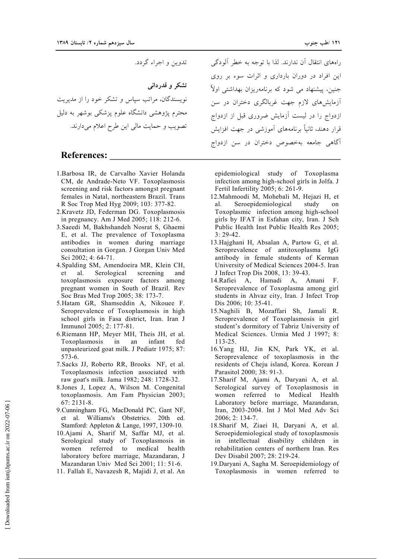تدوين و اجراء گردد.

تشکر و قدردانی

نویسندگان، مراتب سیاس و تشکر خود را از مدیریت محترم یژوهشی دانشگاه علوم یزشکی بوشهر به دلیل تصویب و حمایت مالی این طرح اعلام میدارند.

## **References:**

- 1. Barbosa IR, de Carvalho Xavier Holanda CM, de Andrade-Neto VF. Toxoplasmosis screening and risk factors amongst pregnant females in Natal, northeastern Brazil. Trans R Soc Trop Med Hyg 2009; 103: 377-82.
- 2. Kravetz JD, Federman DG. Toxoplasmosis in pregnancy. Am J Med 2005; 118: 212-6.
- 3. Saeedi M, Bakhshandeh Nosrat S, Ghaemi E, et al. The prevalence of Toxoplasma antibodies in women during marriage consultation in Gorgan. J Gorgan Univ Med Sci 2002; 4: 64-71.
- 4. Spalding SM, Amendoeira MR, Klein CH, et al. Serological screening and toxoplasmosis exposure factors among pregnant women in South of Brazil. Rev Soc Bras Med Trop 2005; 38: 173-7.
- 5. Hatam GR, Shamseddin A, Nikouee F. Seroprevalence of Toxoplasmosis in high school girls in Fasa district, Iran. Iran J Immunol 2005; 2: 177-81.
- 6. Riemann HP, Meyer MH, Theis JH, et al. Toxoplasmosis in an infant fed unpasteurized goat milk. J Pediatr 1975; 87:  $573-6.$
- 7. Sacks JJ, Roberto RR, Brooks NF, et al. Toxoplasmosis infection associated with raw goat's milk. Jama 1982; 248: 1728-32.
- 8.Jones J, Lopez A, Wilson M. Congenital toxoplasmosis. Am Fam Physician 2003;  $67:2131-8.$
- 9. Cunningham FG, MacDonald PC, Gant NF, et al. Williams's Obstetrics. 20th ed. Stamford: Appleton & Lange, 1997, 1309-10.
- 10. Ajami A, Sharif M, Saffar MJ, et al. Serological study of Toxoplasmosis in women referred  $\overline{t}$ medical health laboratory before marriage, Mazandaran, J Mazandaran Univ Med Sci 2001; 11: 51-6.
- 11. Fallah E, Navazesh R, Majidi J, et al. An

راههای انتقال آن ندارند. لذا یا توجه به خطر آلودگی این افراد در دوران بارداری و اثرات سوء بر روی جنین، پیشنهاد می شود که برنامهریزان بهداشتی اولاً آزمایشهای لازم جهت غربالگری دختران در سن ازدواج را در لیست اَزمایش ضروری قبل از ازدواج قرار دهند، ثانیاً برنامههای آموزشی در جهت افزایش آگاهی جامعه بهخصوص دختران در سن ازدواج

epidemiological study of Toxoplasma infection among high-school girls in Jolfa. J Fertil Infertility 2005; 6: 261-9.

- 12. Mahmoodi M, Mohebali M, Hejazi H, et al. Seroepidemiological study on Toxoplasmic infection among high-school girls by IFAT in Esfahan city, Iran. J Sch Public Health Inst Public Health Res 2005;  $3:29-42.$
- 13. Hajghani H, Absalan A, Partow G, et al. Seroprevalence of antitoxoplasma IgG antibody in female students of Kerman University of Medical Sciences 2004-5. Iran J Infect Trop Dis 2008, 13: 39-43.
- 14. Rafiei A, Hamadi A, Amani F. Seroprevalence of Toxoplasma among girl students in Ahvaz city, Iran. J Infect Trop Dis 2006; 10: 35-41.
- 15. Naghili B. Mozaffari Sh. Jamali R. Seroprevalence of Toxoplasmosis in girl student's dormitory of Tabriz University of Medical Sciences. Urmia Med J 1997; 8:  $113 - 25.$
- 16. Yang HJ, Jin KN, Park YK, et al. Seroprevalence of toxoplasmosis in the residents of Cheju island, Korea. Korean J Parasitol 2000; 38: 91-3.
- 17. Sharif M, Ajami A, Daryani A, et al. Serological survey of Toxoplasmosis in women referred to Medical Health Laboratory before marriage, Mazandaran, Iran, 2003-2004. Int J Mol Med Adv Sci 2006; 2: 134-7.
- 18. Sharif M, Ziaei H, Daryani A, et al. Seroepidemiological study of toxoplasmosis in intellectual disability children in rehabilitation centers of northern Iran. Res Dev Disabil 2007; 28: 219-24.
- 19. Daryani A, Sagha M. Seroepidemiology of Toxoplasmosis in women referred to